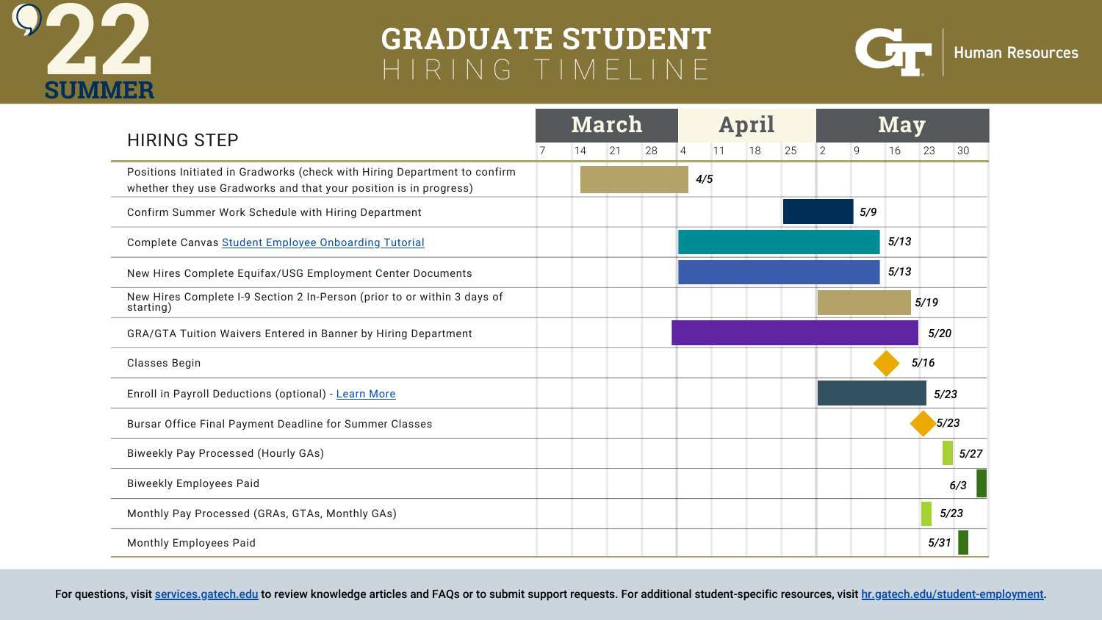| <b>HIRING STEP</b>                                                                                                                             |  | <b>March</b> |    |    |  |  |  |
|------------------------------------------------------------------------------------------------------------------------------------------------|--|--------------|----|----|--|--|--|
|                                                                                                                                                |  | 14           | 21 | 28 |  |  |  |
| Positions Initiated in Gradworks (check with Hiring Department to confirm<br>whether they use Gradworks and that your position is in progress) |  |              |    |    |  |  |  |
| Confirm Summer Work Schedule with Hiring Department                                                                                            |  |              |    |    |  |  |  |
| Complete Canvas Student Employee Onboarding Tutorial                                                                                           |  |              |    |    |  |  |  |
| New Hires Complete Equifax/USG Employment Center Documents                                                                                     |  |              |    |    |  |  |  |
| New Hires Complete I-9 Section 2 In-Person (prior to or within 3 days of<br>starting)                                                          |  |              |    |    |  |  |  |
| <b>GRA/GTA Tuition Waivers Entered in Banner by Hiring Department</b>                                                                          |  |              |    |    |  |  |  |
| <b>Classes Begin</b>                                                                                                                           |  |              |    |    |  |  |  |
| Enroll in Payroll Deductions (optional) - Learn More                                                                                           |  |              |    |    |  |  |  |
| Bursar Office Final Payment Deadline for Summer Classes                                                                                        |  |              |    |    |  |  |  |
| <b>Biweekly Pay Processed (Hourly GAs)</b>                                                                                                     |  |              |    |    |  |  |  |
| <b>Biweekly Employees Paid</b>                                                                                                                 |  |              |    |    |  |  |  |
| Monthly Pay Processed (GRAs, GTAs, Monthly GAs)                                                                                                |  |              |    |    |  |  |  |
| <b>Monthly Employees Paid</b>                                                                                                                  |  |              |    |    |  |  |  |

For questions, visit [services.gatech.edu](https://gatech.service-now.com/home) to review knowledge articles and FAQs or to submit support requests. For additional student-specific resources, visit [hr.gatech.edu/student-employment.](https://hr.gatech.edu/student-employment)





## **Human Resources**



## **GRADUATE STUDENT 22** <sup>H</sup> <sup>I</sup> <sup>R</sup> <sup>I</sup> <sup>N</sup> <sup>G</sup> <sup>T</sup> <sup>I</sup> <sup>M</sup> <sup>E</sup> <sup>L</sup> <sup>I</sup> <sup>N</sup> <sup>E</sup>